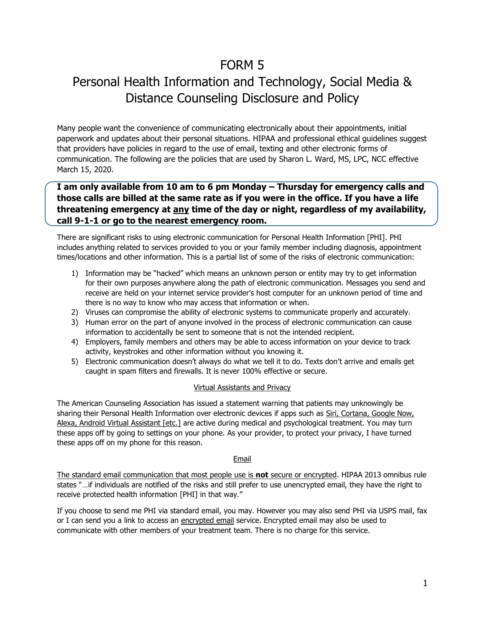## FORM 5

# Personal Health Information and Technology, Social Media & Distance Counseling Disclosure and Policy

Many people want the convenience of communicating electronically about their appointments, initial paperwork and updates about their personal situations. HIPAA and professional ethical guidelines suggest that providers have policies in regard to the use of email, texting and other electronic forms of communication. The following are the policies that are used by Sharon L. Ward, MS, LPC, NCC effective March 15, 2020.

### **I am only available from 10 am to 6 pm Monday – Thursday for emergency calls and those calls are billed at the same rate as if you were in the office. If you have a life threatening emergency at any time of the day or night, regardless of my availability, call 9-1-1 or go to the nearest emergency room.**

There are significant risks to using electronic communication for Personal Health Information [PHI]. PHI includes anything related to services provided to you or your family member including diagnosis, appointment times/locations and other information. This is a partial list of some of the risks of electronic communication:

- 1) Information may be "hacked" which means an unknown person or entity may try to get information for their own purposes anywhere along the path of electronic communication. Messages you send and receive are held on your internet service provider's host computer for an unknown period of time and there is no way to know who may access that information or when.
- 2) Viruses can compromise the ability of electronic systems to communicate properly and accurately.
- 3) Human error on the part of anyone involved in the process of electronic communication can cause information to accidentally be sent to someone that is not the intended recipient.
- 4) Employers, family members and others may be able to access information on your device to track activity, keystrokes and other information without you knowing it.
- 5) Electronic communication doesn't always do what we tell it to do. Texts don't arrive and emails get caught in spam filters and firewalls. It is never 100% effective or secure.

#### Virtual Assistants and Privacy

The American Counseling Association has issued a statement warning that patients may unknowingly be sharing their Personal Health Information over electronic devices if apps such as Siri, Cortana, Google Now, Alexa, Android Virtual Assistant [etc.] are active during medical and psychological treatment. You may turn these apps off by going to settings on your phone. As your provider, to protect your privacy, I have turned these apps off on my phone for this reason.

#### **Email**

The standard email communication that most people use is **not** secure or encrypted. HIPAA 2013 omnibus rule states "…if individuals are notified of the risks and still prefer to use unencrypted email, they have the right to receive protected health information [PHI] in that way."

If you choose to send me PHI via standard email, you may. However you may also send PHI via USPS mail, fax or I can send you a link to access an encrypted email service. Encrypted email may also be used to communicate with other members of your treatment team. There is no charge for this service.